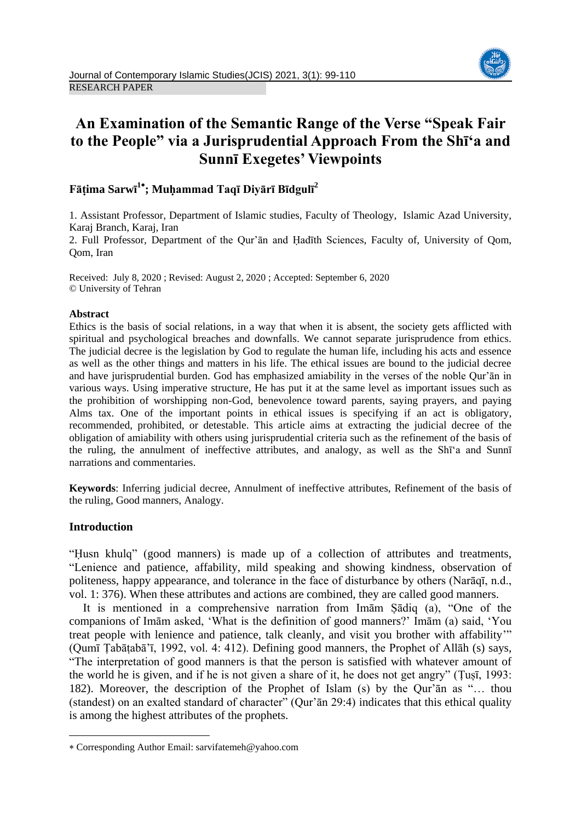

# **An Examination of the Semantic Range of the Verse "Speak Fair to the People" via a Jurisprudential Approach From the Shī'a and Sunnī Exegetes' Viewpoints**

# **Fāṭima Sarwī 1 ; Muḥammad Taqī Diyārī Bīdgulī<sup>2</sup>**

1. Assistant Professor, Department of Islamic studies, Faculty of Theology, Islamic Azad University, Karaj Branch, Karaj, Iran

2. Full Professor, Department of the Qur'ān and Ḥadīth Sciences, Faculty of, University of Qom, Qom, Iran

Received: July 8, 2020 ; Revised: August 2, 2020 ; Accepted: September 6, 2020 © University of Tehran

#### **Abstract**

Ethics is the basis of social relations, in a way that when it is absent, the society gets afflicted with spiritual and psychological breaches and downfalls. We cannot separate jurisprudence from ethics. The judicial decree is the legislation by God to regulate the human life, including his acts and essence as well as the other things and matters in his life. The ethical issues are bound to the judicial decree and have jurisprudential burden. God has emphasized amiability in the verses of the noble Qur'ān in various ways. Using imperative structure, He has put it at the same level as important issues such as the prohibition of worshipping non-God, benevolence toward parents, saying prayers, and paying Alms tax. One of the important points in ethical issues is specifying if an act is obligatory, recommended, prohibited, or detestable. This article aims at extracting the judicial decree of the obligation of amiability with others using jurisprudential criteria such as the refinement of the basis of the ruling, the annulment of ineffective attributes, and analogy, as well as the Shī'a and Sunnī narrations and commentaries.

**Keywords**: Inferring judicial decree, Annulment of ineffective attributes, Refinement of the basis of the ruling, Good manners, Analogy.

# **Introduction**

**.** 

"Ḥusn khulq" (good manners) is made up of a collection of attributes and treatments, "Lenience and patience, affability, mild speaking and showing kindness, observation of politeness, happy appearance, and tolerance in the face of disturbance by others (Narāqī, n.d., vol. 1: 376). When these attributes and actions are combined, they are called good manners.

It is mentioned in a comprehensive narration from Imām Ṣādiq (a), "One of the companions of Imām asked, 'What is the definition of good manners?' Imām (a) said, 'You treat people with lenience and patience, talk cleanly, and visit you brother with affability'" (Qumī Ṭabāṭabā'ī, 1992, vol. 4: 412). Defining good manners, the Prophet of Allāh (s) says, "The interpretation of good manners is that the person is satisfied with whatever amount of the world he is given, and if he is not given a share of it, he does not get angry" (Ṭuṣī, 1993: 182). Moreover, the description of the Prophet of Islam (s) by the Qur'ān as "… thou (standest) on an exalted standard of character" (Qur'ān 29:4) indicates that this ethical quality is among the highest attributes of the prophets.

Corresponding Author Email: sarvifatemeh@yahoo.com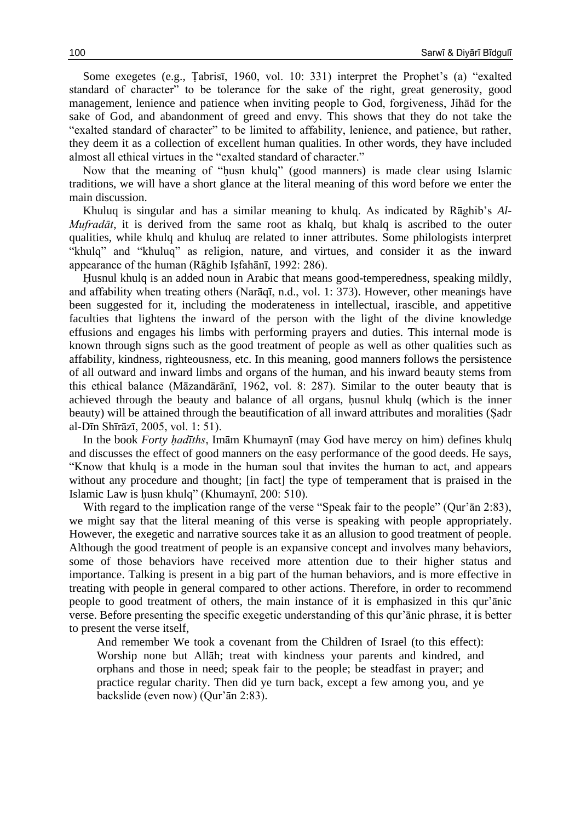Some exegetes (e.g., Ṭabrisī, 1960, vol. 10: 331) interpret the Prophet's (a) "exalted standard of character" to be tolerance for the sake of the right, great generosity, good management, lenience and patience when inviting people to God, forgiveness, Jihād for the sake of God, and abandonment of greed and envy. This shows that they do not take the "exalted standard of character" to be limited to affability, lenience, and patience, but rather, they deem it as a collection of excellent human qualities. In other words, they have included almost all ethical virtues in the "exalted standard of character."

Now that the meaning of "ḥusn khulq" (good manners) is made clear using Islamic traditions, we will have a short glance at the literal meaning of this word before we enter the main discussion.

Khuluq is singular and has a similar meaning to khulq. As indicated by Rāghib's *Al-Mufradāt*, it is derived from the same root as khalq, but khalq is ascribed to the outer qualities, while khulq and khuluq are related to inner attributes. Some philologists interpret "khulq" and "khuluq" as religion, nature, and virtues, and consider it as the inward appearance of the human (Rāghib Isfahānī, 1992: 286).

Ḥusnul khulq is an added noun in Arabic that means good-temperedness, speaking mildly, and affability when treating others (Narāqī, n.d., vol. 1: 373). However, other meanings have been suggested for it, including the moderateness in intellectual, irascible, and appetitive faculties that lightens the inward of the person with the light of the divine knowledge effusions and engages his limbs with performing prayers and duties. This internal mode is known through signs such as the good treatment of people as well as other qualities such as affability, kindness, righteousness, etc. In this meaning, good manners follows the persistence of all outward and inward limbs and organs of the human, and his inward beauty stems from this ethical balance (Māzandārānī, 1962, vol. 8: 287). Similar to the outer beauty that is achieved through the beauty and balance of all organs, ḥusnul khulq (which is the inner beauty) will be attained through the beautification of all inward attributes and moralities (Sadr al-Dīn Shīrāzī, 2005, vol. 1: 51).

In the book *Forty ḥadīths*, Imām Khumaynī (may God have mercy on him) defines khulq and discusses the effect of good manners on the easy performance of the good deeds. He says, "Know that khulq is a mode in the human soul that invites the human to act, and appears without any procedure and thought; [in fact] the type of temperament that is praised in the Islamic Law is ḥusn khulq" (Khumaynī, 200: 510).

With regard to the implication range of the verse "Speak fair to the people" (Qur'an 2:83), we might say that the literal meaning of this verse is speaking with people appropriately. However, the exegetic and narrative sources take it as an allusion to good treatment of people. Although the good treatment of people is an expansive concept and involves many behaviors, some of those behaviors have received more attention due to their higher status and importance. Talking is present in a big part of the human behaviors, and is more effective in treating with people in general compared to other actions. Therefore, in order to recommend people to good treatment of others, the main instance of it is emphasized in this qur'ānic verse. Before presenting the specific exegetic understanding of this qur'ānic phrase, it is better to present the verse itself,

And remember We took a covenant from the Children of Israel (to this effect): Worship none but Allāh; treat with kindness your parents and kindred, and orphans and those in need; speak fair to the people; be steadfast in prayer; and practice regular charity. Then did ye turn back, except a few among you, and ye backslide (even now) (Qur'ān 2:83).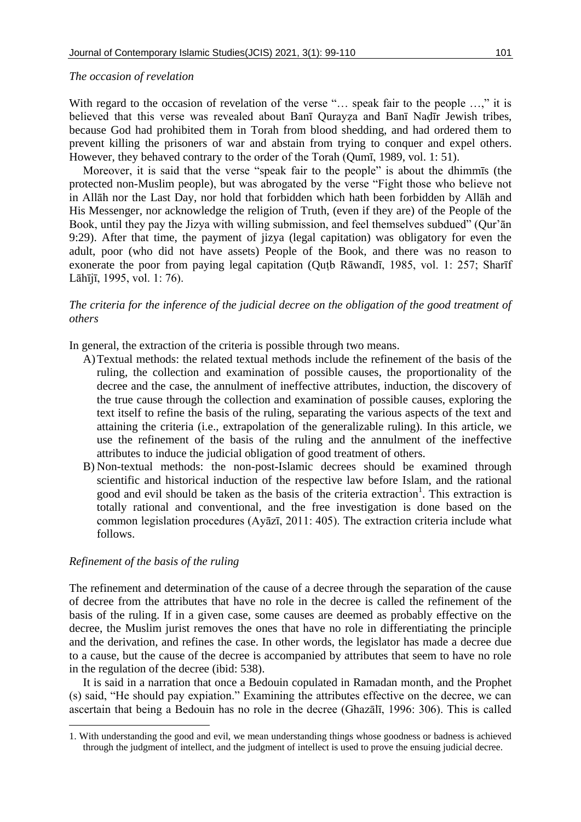#### *The occasion of revelation*

With regard to the occasion of revelation of the verse "... speak fair to the people ...," it is believed that this verse was revealed about Banī Qurayza and Banī Nadīr Jewish tribes, because God had prohibited them in Torah from blood shedding, and had ordered them to prevent killing the prisoners of war and abstain from trying to conquer and expel others. However, they behaved contrary to the order of the Torah (Qumī, 1989, vol. 1: 51).

Moreover, it is said that the verse "speak fair to the people" is about the dhimmīs (the protected non-Muslim people), but was abrogated by the verse "Fight those who believe not in Allāh nor the Last Day, nor hold that forbidden which hath been forbidden by Allāh and His Messenger, nor acknowledge the religion of Truth, (even if they are) of the People of the Book, until they pay the Jizya with willing submission, and feel themselves subdued" (Qur'ān 9:29). After that time, the payment of jizya (legal capitation) was obligatory for even the adult, poor (who did not have assets) People of the Book, and there was no reason to exonerate the poor from paying legal capitation (Quṭb Rāwandī, 1985, vol. 1: 257; Sharīf Lāhījī, 1995, vol. 1: 76).

# *The criteria for the inference of the judicial decree on the obligation of the good treatment of others*

In general, the extraction of the criteria is possible through two means.

- A)Textual methods: the related textual methods include the refinement of the basis of the ruling, the collection and examination of possible causes, the proportionality of the decree and the case, the annulment of ineffective attributes, induction, the discovery of the true cause through the collection and examination of possible causes, exploring the text itself to refine the basis of the ruling, separating the various aspects of the text and attaining the criteria (i.e., extrapolation of the generalizable ruling). In this article, we use the refinement of the basis of the ruling and the annulment of the ineffective attributes to induce the judicial obligation of good treatment of others.
- B) Non-textual methods: the non-post-Islamic decrees should be examined through scientific and historical induction of the respective law before Islam, and the rational good and evil should be taken as the basis of the criteria extraction<sup>1</sup>. This extraction is totally rational and conventional, and the free investigation is done based on the common legislation procedures (Ayāzī, 2011: 405). The extraction criteria include what follows.

## *Refinement of the basis of the ruling*

1

The refinement and determination of the cause of a decree through the separation of the cause of decree from the attributes that have no role in the decree is called the refinement of the basis of the ruling. If in a given case, some causes are deemed as probably effective on the decree, the Muslim jurist removes the ones that have no role in differentiating the principle and the derivation, and refines the case. In other words, the legislator has made a decree due to a cause, but the cause of the decree is accompanied by attributes that seem to have no role in the regulation of the decree (ibid: 538).

It is said in a narration that once a Bedouin copulated in Ramadan month, and the Prophet (s) said, "He should pay expiation." Examining the attributes effective on the decree, we can ascertain that being a Bedouin has no role in the decree (Ghazālī, 1996: 306). This is called

<sup>1.</sup> With understanding the good and evil, we mean understanding things whose goodness or badness is achieved through the judgment of intellect, and the judgment of intellect is used to prove the ensuing judicial decree.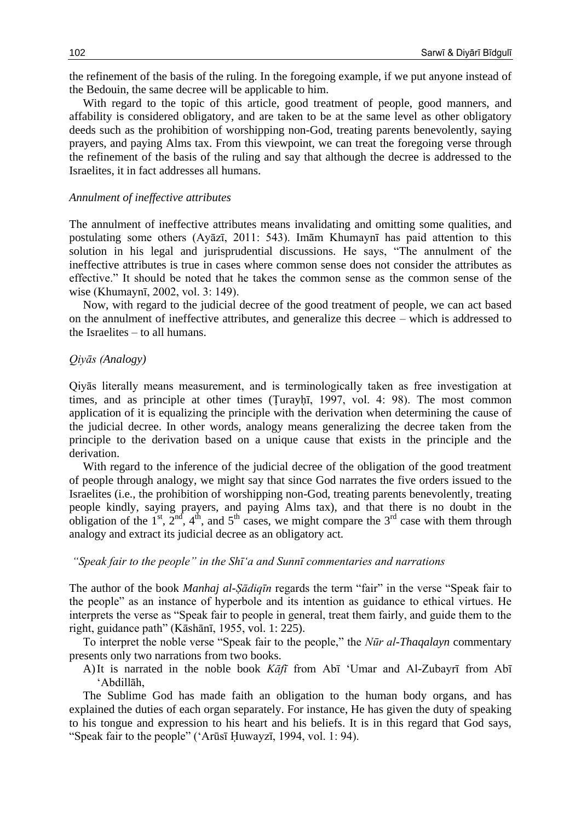the refinement of the basis of the ruling. In the foregoing example, if we put anyone instead of the Bedouin, the same decree will be applicable to him.

With regard to the topic of this article, good treatment of people, good manners, and affability is considered obligatory, and are taken to be at the same level as other obligatory deeds such as the prohibition of worshipping non-God, treating parents benevolently, saying prayers, and paying Alms tax. From this viewpoint, we can treat the foregoing verse through the refinement of the basis of the ruling and say that although the decree is addressed to the Israelites, it in fact addresses all humans.

#### *Annulment of ineffective attributes*

The annulment of ineffective attributes means invalidating and omitting some qualities, and postulating some others (Ayāzī, 2011: 543). Imām Khumaynī has paid attention to this solution in his legal and jurisprudential discussions. He says, "The annulment of the ineffective attributes is true in cases where common sense does not consider the attributes as effective." It should be noted that he takes the common sense as the common sense of the wise (Khumaynī, 2002, vol. 3: 149).

Now, with regard to the judicial decree of the good treatment of people, we can act based on the annulment of ineffective attributes, and generalize this decree – which is addressed to the Israelites – to all humans.

#### *Qiyās (Analogy)*

Qiyās literally means measurement, and is terminologically taken as free investigation at times, and as principle at other times (Ṭurayḥī, 1997, vol. 4: 98). The most common application of it is equalizing the principle with the derivation when determining the cause of the judicial decree. In other words, analogy means generalizing the decree taken from the principle to the derivation based on a unique cause that exists in the principle and the derivation.

With regard to the inference of the judicial decree of the obligation of the good treatment of people through analogy, we might say that since God narrates the five orders issued to the Israelites (i.e., the prohibition of worshipping non-God, treating parents benevolently, treating people kindly, saying prayers, and paying Alms tax), and that there is no doubt in the obligation of the 1<sup>st</sup>, 2<sup>nd</sup>, 4<sup>th</sup>, and 5<sup>th</sup> cases, we might compare the 3<sup>rd</sup> case with them through analogy and extract its judicial decree as an obligatory act.

#### *"Speak fair to the people" in the Shī'a and Sunnī commentaries and narrations*

The author of the book *Manhaj al-Ṣādiqīn* regards the term "fair" in the verse "Speak fair to the people" as an instance of hyperbole and its intention as guidance to ethical virtues. He interprets the verse as "Speak fair to people in general, treat them fairly, and guide them to the right, guidance path" (Kāshānī, 1955, vol. 1: 225).

To interpret the noble verse "Speak fair to the people," the *Nūr al-Thaqalayn* commentary presents only two narrations from two books.

A)It is narrated in the noble book *Kāfī* from Abī 'Umar and Al-Zubayrī from Abī 'Abdillāh,

The Sublime God has made faith an obligation to the human body organs, and has explained the duties of each organ separately. For instance, He has given the duty of speaking to his tongue and expression to his heart and his beliefs. It is in this regard that God says, "Speak fair to the people" ('Arūsī Ḥuwayzī, 1994, vol. 1: 94).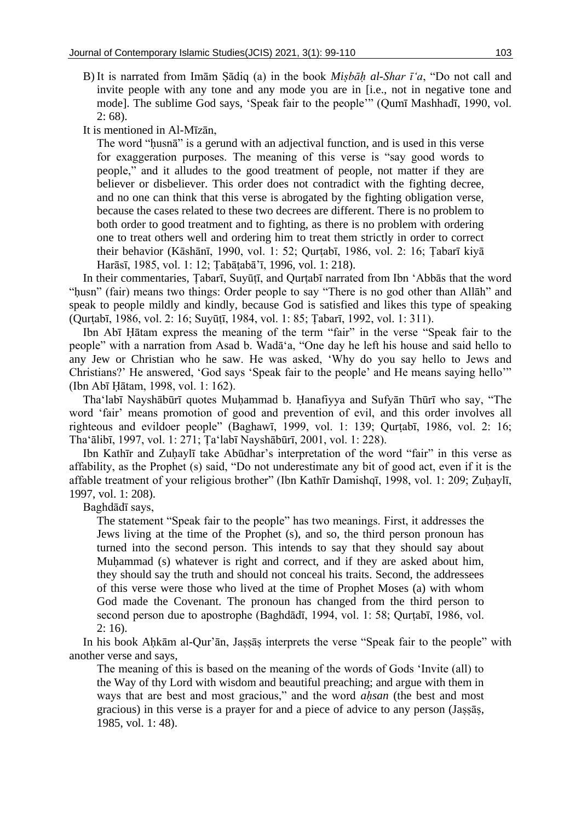B) It is narrated from Imām Ṣādiq (a) in the book *Miṣbāḥ al-Shar ī'a*, "Do not call and invite people with any tone and any mode you are in [i.e., not in negative tone and mode]. The sublime God says, 'Speak fair to the people'" (Qumī Mashhadī, 1990, vol. 2: 68).

It is mentioned in Al-Mīzān,

The word "ḥusnā" is a gerund with an adjectival function, and is used in this verse for exaggeration purposes. The meaning of this verse is "say good words to people," and it alludes to the good treatment of people, not matter if they are believer or disbeliever. This order does not contradict with the fighting decree, and no one can think that this verse is abrogated by the fighting obligation verse, because the cases related to these two decrees are different. There is no problem to both order to good treatment and to fighting, as there is no problem with ordering one to treat others well and ordering him to treat them strictly in order to correct their behavior (Kāshānī, 1990, vol. 1: 52; Qurṭabī, 1986, vol. 2: 16; Ṭabarī kiyā Harāsī, 1985, vol. 1: 12; Ṭabāṭabā'ī, 1996, vol. 1: 218).

In their commentaries, Tabarī, Suyūtī, and Qurtabī narrated from Ibn 'Abbās that the word "ḥusn" (fair) means two things: Order people to say "There is no god other than Allāh" and speak to people mildly and kindly, because God is satisfied and likes this type of speaking (Qurṭabī, 1986, vol. 2: 16; Suyūṭī, 1984, vol. 1: 85; Ṭabarī, 1992, vol. 1: 311).

Ibn Abī Ḥātam express the meaning of the term "fair" in the verse "Speak fair to the people" with a narration from Asad b. Wadā'a, "One day he left his house and said hello to any Jew or Christian who he saw. He was asked, 'Why do you say hello to Jews and Christians?' He answered, 'God says 'Speak fair to the people' and He means saying hello'" (Ibn Abī Ḥātam, 1998, vol. 1: 162).

Tha'labī Nayshābūrī quotes Muḥammad b. Ḥanafiyya and Sufyān Thūrī who say, "The word 'fair' means promotion of good and prevention of evil, and this order involves all righteous and evildoer people" (Baghawī, 1999, vol. 1: 139; Qurṭabī, 1986, vol. 2: 16; Tha'ālibī, 1997, vol. 1: 271; Ṭa'labī Nayshābūrī, 2001, vol. 1: 228).

Ibn Kathīr and Zuḥaylī take Abūdhar's interpretation of the word "fair" in this verse as affability, as the Prophet (s) said, "Do not underestimate any bit of good act, even if it is the affable treatment of your religious brother" (Ibn Kathīr Damishqī, 1998, vol. 1: 209; Zuhaylī, 1997, vol. 1: 208).

Baghdādī says,

The statement "Speak fair to the people" has two meanings. First, it addresses the Jews living at the time of the Prophet (s), and so, the third person pronoun has turned into the second person. This intends to say that they should say about Muhammad (s) whatever is right and correct, and if they are asked about him, they should say the truth and should not conceal his traits. Second, the addressees of this verse were those who lived at the time of Prophet Moses (a) with whom God made the Covenant. The pronoun has changed from the third person to second person due to apostrophe (Baghdādī, 1994, vol. 1: 58; Qurṭabī, 1986, vol.  $2:16$ ).

In his book Aḥkām al-Qur'ān, Jaṣṣāṣ interprets the verse "Speak fair to the people" with another verse and says,

The meaning of this is based on the meaning of the words of Gods 'Invite (all) to the Way of thy Lord with wisdom and beautiful preaching; and argue with them in ways that are best and most gracious," and the word *aḥsan* (the best and most gracious) in this verse is a prayer for and a piece of advice to any person (Jaṣṣāṣ, 1985, vol. 1: 48).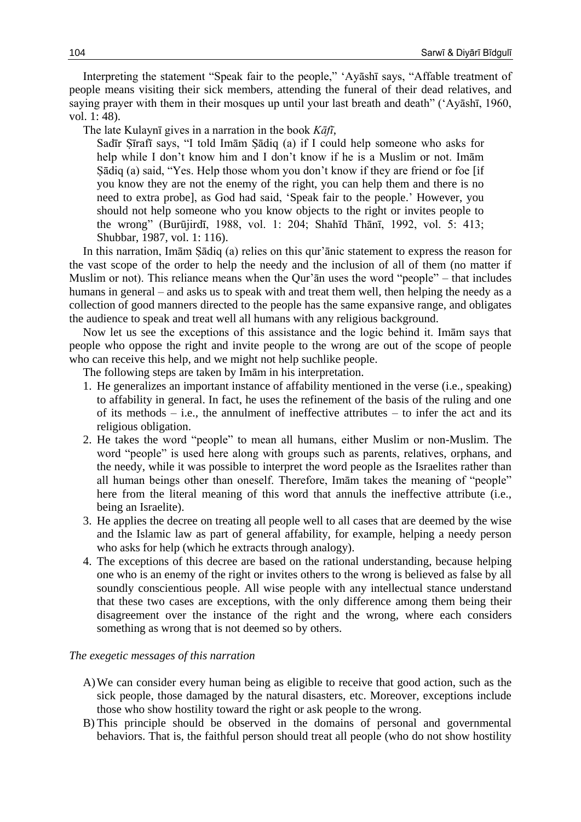Interpreting the statement "Speak fair to the people," 'Ayāshī says, "Affable treatment of people means visiting their sick members, attending the funeral of their dead relatives, and saying prayer with them in their mosques up until your last breath and death" ('Ayāshī, 1960, vol. 1: 48).

The late Kulaynī gives in a narration in the book *Kāfī*,

Sadīr Ṣīrafī says, "I told Imām Ṣādiq (a) if I could help someone who asks for help while I don't know him and I don't know if he is a Muslim or not. Imām Ṣādiq (a) said, "Yes. Help those whom you don't know if they are friend or foe [if you know they are not the enemy of the right, you can help them and there is no need to extra probe], as God had said, 'Speak fair to the people.' However, you should not help someone who you know objects to the right or invites people to the wrong" (Burūjirdī, 1988, vol. 1: 204; Shahīd Thānī, 1992, vol. 5: 413; Shubbar, 1987, vol. 1: 116).

In this narration, Imām Ṣādiq (a) relies on this qur'ānic statement to express the reason for the vast scope of the order to help the needy and the inclusion of all of them (no matter if Muslim or not). This reliance means when the Qur'ān uses the word "people" – that includes humans in general – and asks us to speak with and treat them well, then helping the needy as a collection of good manners directed to the people has the same expansive range, and obligates the audience to speak and treat well all humans with any religious background.

Now let us see the exceptions of this assistance and the logic behind it. Imām says that people who oppose the right and invite people to the wrong are out of the scope of people who can receive this help, and we might not help suchlike people.

The following steps are taken by Imām in his interpretation.

- 1. He generalizes an important instance of affability mentioned in the verse (i.e., speaking) to affability in general. In fact, he uses the refinement of the basis of the ruling and one of its methods  $-$  i.e., the annulment of ineffective attributes  $-$  to infer the act and its religious obligation.
- 2. He takes the word "people" to mean all humans, either Muslim or non-Muslim. The word "people" is used here along with groups such as parents, relatives, orphans, and the needy, while it was possible to interpret the word people as the Israelites rather than all human beings other than oneself. Therefore, Imām takes the meaning of "people" here from the literal meaning of this word that annuls the ineffective attribute (i.e., being an Israelite).
- 3. He applies the decree on treating all people well to all cases that are deemed by the wise and the Islamic law as part of general affability, for example, helping a needy person who asks for help (which he extracts through analogy).
- 4. The exceptions of this decree are based on the rational understanding, because helping one who is an enemy of the right or invites others to the wrong is believed as false by all soundly conscientious people. All wise people with any intellectual stance understand that these two cases are exceptions, with the only difference among them being their disagreement over the instance of the right and the wrong, where each considers something as wrong that is not deemed so by others.

#### *The exegetic messages of this narration*

- A)We can consider every human being as eligible to receive that good action, such as the sick people, those damaged by the natural disasters, etc. Moreover, exceptions include those who show hostility toward the right or ask people to the wrong.
- B) This principle should be observed in the domains of personal and governmental behaviors. That is, the faithful person should treat all people (who do not show hostility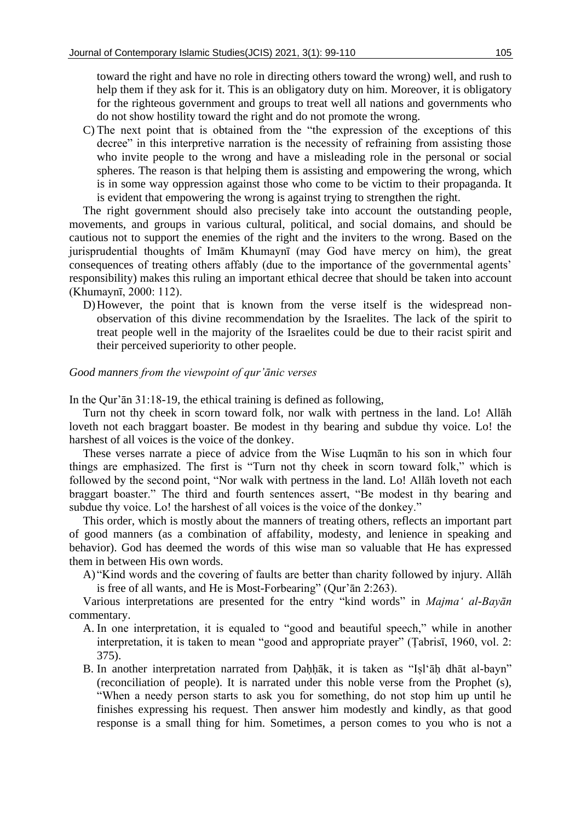toward the right and have no role in directing others toward the wrong) well, and rush to help them if they ask for it. This is an obligatory duty on him. Moreover, it is obligatory for the righteous government and groups to treat well all nations and governments who do not show hostility toward the right and do not promote the wrong.

C) The next point that is obtained from the "the expression of the exceptions of this decree" in this interpretive narration is the necessity of refraining from assisting those who invite people to the wrong and have a misleading role in the personal or social spheres. The reason is that helping them is assisting and empowering the wrong, which is in some way oppression against those who come to be victim to their propaganda. It is evident that empowering the wrong is against trying to strengthen the right.

The right government should also precisely take into account the outstanding people, movements, and groups in various cultural, political, and social domains, and should be cautious not to support the enemies of the right and the inviters to the wrong. Based on the jurisprudential thoughts of Imām Khumaynī (may God have mercy on him), the great consequences of treating others affably (due to the importance of the governmental agents' responsibility) makes this ruling an important ethical decree that should be taken into account (Khumaynī, 2000: 112).

D)However, the point that is known from the verse itself is the widespread nonobservation of this divine recommendation by the Israelites. The lack of the spirit to treat people well in the majority of the Israelites could be due to their racist spirit and their perceived superiority to other people.

## *Good manners from the viewpoint of qur'ānic verses*

In the Qur'ān 31:18-19, the ethical training is defined as following,

Turn not thy cheek in scorn toward folk, nor walk with pertness in the land. Lo! Allāh loveth not each braggart boaster. Be modest in thy bearing and subdue thy voice. Lo! the harshest of all voices is the voice of the donkey.

These verses narrate a piece of advice from the Wise Luqmān to his son in which four things are emphasized. The first is "Turn not thy cheek in scorn toward folk," which is followed by the second point, "Nor walk with pertness in the land. Lo! Allāh loveth not each braggart boaster." The third and fourth sentences assert, "Be modest in thy bearing and subdue thy voice. Lo! the harshest of all voices is the voice of the donkey."

This order, which is mostly about the manners of treating others, reflects an important part of good manners (as a combination of affability, modesty, and lenience in speaking and behavior). God has deemed the words of this wise man so valuable that He has expressed them in between His own words.

A) "Kind words and the covering of faults are better than charity followed by injury. Allāh is free of all wants, and He is Most-Forbearing" (Qur'ān 2:263).

Various interpretations are presented for the entry "kind words" in *Majma' al-Bayān* commentary.

- A. In one interpretation, it is equaled to "good and beautiful speech," while in another interpretation, it is taken to mean "good and appropriate prayer" (Ṭabrisī, 1960, vol. 2: 375).
- B. In another interpretation narrated from Ḍaḥḥāk, it is taken as "Iṣl'āḥ dhāt al-bayn" (reconciliation of people). It is narrated under this noble verse from the Prophet (s), "When a needy person starts to ask you for something, do not stop him up until he finishes expressing his request. Then answer him modestly and kindly, as that good response is a small thing for him. Sometimes, a person comes to you who is not a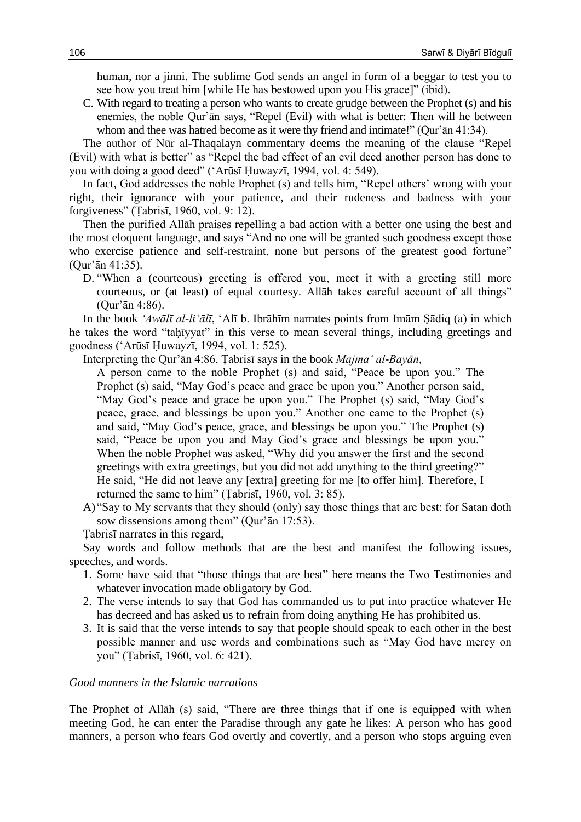human, nor a jinni. The sublime God sends an angel in form of a beggar to test you to see how you treat him [while He has bestowed upon you His grace]" (ibid).

C. With regard to treating a person who wants to create grudge between the Prophet (s) and his enemies, the noble Qur'ān says, "Repel (Evil) with what is better: Then will he between whom and thee was hatred become as it were thy friend and intimate!" (Qur'ān 41:34).

The author of Nūr al-Thaqalayn commentary deems the meaning of the clause "Repel (Evil) with what is better" as "Repel the bad effect of an evil deed another person has done to you with doing a good deed" ('Arūsī Ḥuwayzī, 1994, vol. 4: 549).

In fact, God addresses the noble Prophet (s) and tells him, "Repel others' wrong with your right, their ignorance with your patience, and their rudeness and badness with your forgiveness" (Ṭabrisī, 1960, vol. 9: 12).

Then the purified Allāh praises repelling a bad action with a better one using the best and the most eloquent language, and says "And no one will be granted such goodness except those who exercise patience and self-restraint, none but persons of the greatest good fortune" (Qur'ān 41:35).

D. "When a (courteous) greeting is offered you, meet it with a greeting still more courteous, or (at least) of equal courtesy. Allāh takes careful account of all things" (Qur'ān 4:86).

In the book *'Awālī al-li'ālī*, 'Alī b. Ibrāhīm narrates points from Imām Ṣādiq (a) in which he takes the word "taḥīyyat" in this verse to mean several things, including greetings and goodness ('Arūsī Ḥuwayzī, 1994, vol. 1: 525).

Interpreting the Qur'ān 4:86, Ṭabrisī says in the book *Majma' al-Bayān*,

A person came to the noble Prophet (s) and said, "Peace be upon you." The Prophet (s) said, "May God's peace and grace be upon you." Another person said, "May God's peace and grace be upon you." The Prophet (s) said, "May God's peace, grace, and blessings be upon you." Another one came to the Prophet (s) and said, "May God's peace, grace, and blessings be upon you." The Prophet (s) said, "Peace be upon you and May God's grace and blessings be upon you." When the noble Prophet was asked, "Why did you answer the first and the second greetings with extra greetings, but you did not add anything to the third greeting?" He said, "He did not leave any [extra] greeting for me [to offer him]. Therefore, I returned the same to him" (Ṭabrisī, 1960, vol. 3: 85).

A) "Say to My servants that they should (only) say those things that are best: for Satan doth sow dissensions among them" (Qur'ān 17:53).

Ṭabrisī narrates in this regard,

Say words and follow methods that are the best and manifest the following issues, speeches, and words.

- 1. Some have said that "those things that are best" here means the Two Testimonies and whatever invocation made obligatory by God.
- 2. The verse intends to say that God has commanded us to put into practice whatever He has decreed and has asked us to refrain from doing anything He has prohibited us.
- 3. It is said that the verse intends to say that people should speak to each other in the best possible manner and use words and combinations such as "May God have mercy on you" (Ṭabrisī, 1960, vol. 6: 421).

#### *Good manners in the Islamic narrations*

The Prophet of Allāh (s) said, "There are three things that if one is equipped with when meeting God, he can enter the Paradise through any gate he likes: A person who has good manners, a person who fears God overtly and covertly, and a person who stops arguing even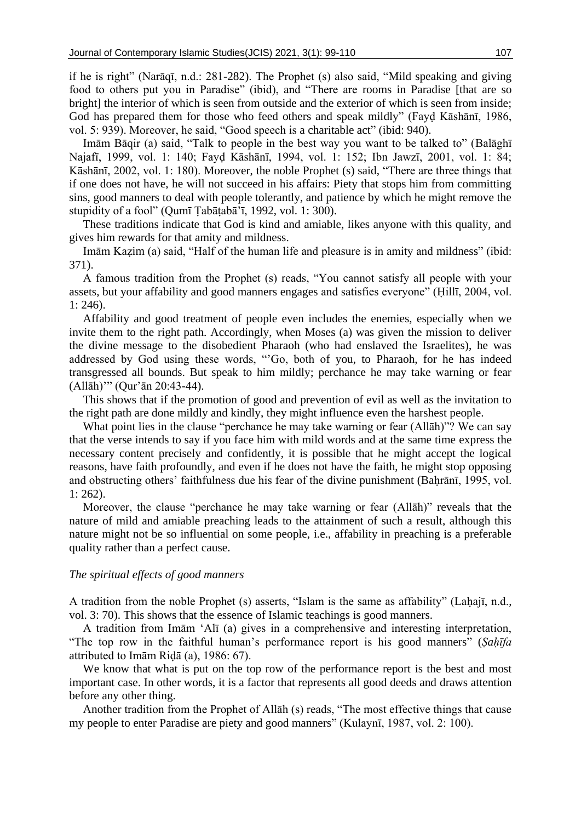if he is right" (Narāqī, n.d.: 281-282). The Prophet (s) also said, "Mild speaking and giving food to others put you in Paradise" (ibid), and "There are rooms in Paradise [that are so bright] the interior of which is seen from outside and the exterior of which is seen from inside; God has prepared them for those who feed others and speak mildly" (Fayḍ Kāshānī, 1986, vol. 5: 939). Moreover, he said, "Good speech is a charitable act" (ibid: 940).

Imām Bāqir (a) said, "Talk to people in the best way you want to be talked to" (Balāghī Najafī, 1999, vol. 1: 140; Fayḍ Kāshānī, 1994, vol. 1: 152; Ibn Jawzī, 2001, vol. 1: 84; Kāshānī, 2002, vol. 1: 180). Moreover, the noble Prophet (s) said, "There are three things that if one does not have, he will not succeed in his affairs: Piety that stops him from committing sins, good manners to deal with people tolerantly, and patience by which he might remove the stupidity of a fool" (Qumī Tabātabā'ī, 1992, vol. 1: 300).

These traditions indicate that God is kind and amiable, likes anyone with this quality, and gives him rewards for that amity and mildness.

Imām Kazim (a) said, "Half of the human life and pleasure is in amity and mildness" (ibid: 371).

A famous tradition from the Prophet (s) reads, "You cannot satisfy all people with your assets, but your affability and good manners engages and satisfies everyone" (Ḥillī, 2004, vol. 1: 246).

Affability and good treatment of people even includes the enemies, especially when we invite them to the right path. Accordingly, when Moses (a) was given the mission to deliver the divine message to the disobedient Pharaoh (who had enslaved the Israelites), he was addressed by God using these words, "'Go, both of you, to Pharaoh, for he has indeed transgressed all bounds. But speak to him mildly; perchance he may take warning or fear (Allāh)'" (Qur'ān 20:43-44).

This shows that if the promotion of good and prevention of evil as well as the invitation to the right path are done mildly and kindly, they might influence even the harshest people.

What point lies in the clause "perchance he may take warning or fear (Allāh)"? We can say that the verse intends to say if you face him with mild words and at the same time express the necessary content precisely and confidently, it is possible that he might accept the logical reasons, have faith profoundly, and even if he does not have the faith, he might stop opposing and obstructing others' faithfulness due his fear of the divine punishment (Baḥrānī, 1995, vol. 1: 262).

Moreover, the clause "perchance he may take warning or fear (Allāh)" reveals that the nature of mild and amiable preaching leads to the attainment of such a result, although this nature might not be so influential on some people, i.e., affability in preaching is a preferable quality rather than a perfect cause.

#### *The spiritual effects of good manners*

A tradition from the noble Prophet (s) asserts, "Islam is the same as affability" (Laḥajī, n.d., vol. 3: 70). This shows that the essence of Islamic teachings is good manners.

A tradition from Imām 'Alī (a) gives in a comprehensive and interesting interpretation, "The top row in the faithful human's performance report is his good manners" (*Sahīfa* attributed to Imām Riḍā (a), 1986: 67).

We know that what is put on the top row of the performance report is the best and most important case. In other words, it is a factor that represents all good deeds and draws attention before any other thing.

Another tradition from the Prophet of Allāh (s) reads, "The most effective things that cause my people to enter Paradise are piety and good manners" (Kulaynī, 1987, vol. 2: 100).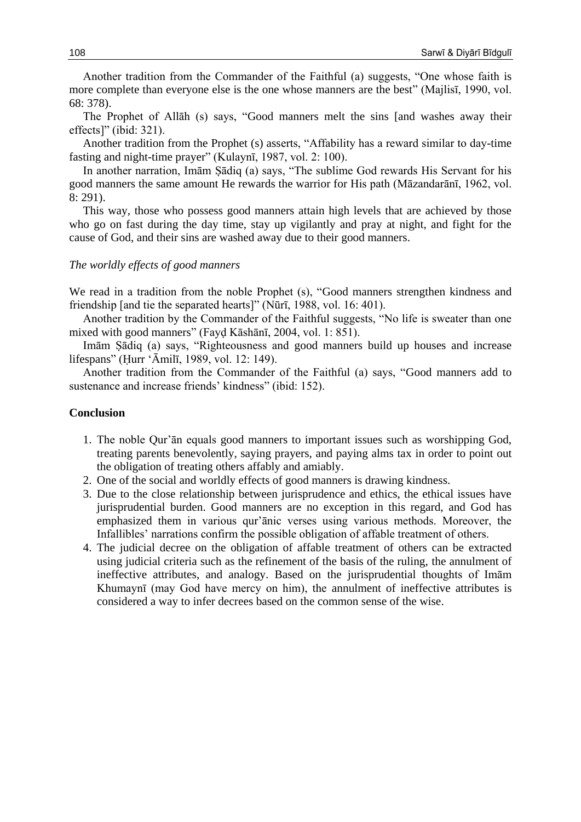Another tradition from the Commander of the Faithful (a) suggests, "One whose faith is more complete than everyone else is the one whose manners are the best" (Majlisī, 1990, vol. 68: 378).

The Prophet of Allāh (s) says, "Good manners melt the sins [and washes away their effects]" (ibid: 321).

Another tradition from the Prophet (s) asserts, "Affability has a reward similar to day-time fasting and night-time prayer" (Kulaynī, 1987, vol. 2: 100).

In another narration, Imām Ṣādiq (a) says, "The sublime God rewards His Servant for his good manners the same amount He rewards the warrior for His path (Māzandarānī, 1962, vol. 8: 291).

This way, those who possess good manners attain high levels that are achieved by those who go on fast during the day time, stay up vigilantly and pray at night, and fight for the cause of God, and their sins are washed away due to their good manners.

#### *The worldly effects of good manners*

We read in a tradition from the noble Prophet (s), "Good manners strengthen kindness and friendship [and tie the separated hearts]" (Nūrī, 1988, vol. 16: 401).

Another tradition by the Commander of the Faithful suggests, "No life is sweater than one mixed with good manners" (Fayḍ Kāshānī, 2004, vol. 1: 851).

Imām Ṣādiq (a) says, "Righteousness and good manners build up houses and increase lifespans" (Ḥurr 'Āmilī, 1989, vol. 12: 149).

Another tradition from the Commander of the Faithful (a) says, "Good manners add to sustenance and increase friends' kindness" (ibid: 152).

#### **Conclusion**

- 1. The noble Qur'ān equals good manners to important issues such as worshipping God, treating parents benevolently, saying prayers, and paying alms tax in order to point out the obligation of treating others affably and amiably.
- 2. One of the social and worldly effects of good manners is drawing kindness.
- 3. Due to the close relationship between jurisprudence and ethics, the ethical issues have jurisprudential burden. Good manners are no exception in this regard, and God has emphasized them in various qur'ānic verses using various methods. Moreover, the Infallibles' narrations confirm the possible obligation of affable treatment of others.
- 4. The judicial decree on the obligation of affable treatment of others can be extracted using judicial criteria such as the refinement of the basis of the ruling, the annulment of ineffective attributes, and analogy. Based on the jurisprudential thoughts of Imām Khumaynī (may God have mercy on him), the annulment of ineffective attributes is considered a way to infer decrees based on the common sense of the wise.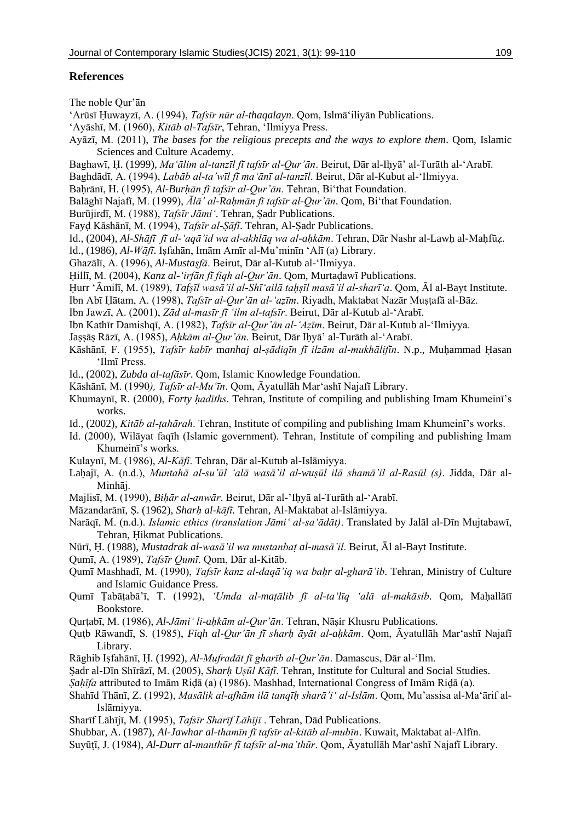# **References**

The noble Qur'ān

- 'Arūsī Ḥuwayzī, A. (1994), *Tafsīr nūr al-thaqalayn*. Qom, Islmā'iliyān Publications.
- 'Ayāshī, M. (1960), *Kitāb al-Tafsīr*, Tehran, 'Ilmiyya Press.
- Ayāzī, M. (2011), *The bases for the religious precepts and the ways to explore them*. Qom, Islamic Sciences and Culture Academy.
- Baghawī, Ḥ. (1999), *Ma'ālim al-tanzīl fī tafsīr al-Qur'ān*. Beirut, Dār al-Iḥyā' al-Turāth al-'Arabī.
- Baghdādī, A. (1994), *Labāb al-ta'wīl fī ma'ānī al-tanzīl*. Beirut, Dār al-Kubut al-'Ilmiyya.
- Baḥrānī, H. (1995), *Al-Burḥān fī tafsīr al-Qur'ān*. Tehran, Bi'that Foundation.
- Balāghī Najafī, M. (1999), *Ālā' al-Raḥmān fī tafsīr al-Qur'ān*. Qom, Bi'that Foundation.
- Burūjirdī, M. (1988), *Tafsīr Jāmi'*. Tehran, Ṣadr Publications.
- Fayḍ Kāshānī, M. (1994), *Tafsīr al-Ṣāfī*. Tehran, Al-Ṣadr Publications.
- Id., (2004), *Al-Shāfī fī al-'aqā'id wa al-akhlāq wa al-aḥkām*. Tehran, Dār Nashr al-Lawḥ al-Maḥfūẓ.
- Id., (1986), *Al-Wāfī*. Iṣfahān, Imām Amīr al-Mu'minīn 'Alī (a) Library.
- Ghazālī, A. (1996), *Al-Mustaṣfā*. Beirut, Dār al-Kutub al-'Ilmiyya.
- Ḥillī, M. (2004), *Kanz al-'irfān fī fiqh al-Qur'ān*. Qom, Murtaḍawī Publications.
- Hurr 'Āmilī, M. (1989), *Tafṣīl waṣā'il al-Shī'ailā tahṣīl maṣā'il al-sharī'a*. Qom, Āl al-Bayt Institute.
- Ibn Abī Ḥātam, A. (1998), *Tafsīr al-Qur'ān al-'aẓīm*. Riyadh, Maktabat Nazār Muṣṭafā al-Bāz.
- Ibn Jawzī, A. (2001), *Zād al-masīr fī 'ilm al-tafsīr*. Beirut, Dār al-Kutub al-'Arabī.
- Ibn Kathīr Damishqī, A. (1982), *Tafsīr al-Qur'ān al-'Aẓīm*. Beirut, Dār al-Kutub al-'Ilmiyya.
- Jaṣṣāṣ Rāzī, A. (1985), *Aḥkām al-Qur'ān*. Beirut, Dār Iḥyā' al-Turāth al-'Arabī.
- Kāshānī, F. (1955), *Tafsīr kabīr* m*anhaj al-ṣādiqīn fī ilzām al-mukhālifīn*. N.p., Muḥammad Ḥasan 'Ilmī Press.
- Id., (2002), *Zubda al-tafāsīr*. Qom, Islamic Knowledge Foundation.
- Kāshānī, M. (1990*), Tafsīr al-Mu'īn*. Qom, Āyatullāh Mar'ashī Najafī Library.
- Khumaynī, R. (2000), *Forty ḥadīths*. Tehran, Institute of compiling and publishing Imam Khumeinī's works.
- Id., (2002), *Kitāb al-ṭahārah*. Tehran, Institute of compiling and publishing Imam Khumeinī's works.
- Id. (2000), Wilāyat faqīh (Islamic government). Tehran, Institute of compiling and publishing Imam Khumeinī's works.
- Kulaynī, M. (1986), *Al-Kāfī*. Tehran, Dār al-Kutub al-Islāmiyya.
- Laḥajī, A. (n.d.), *Muntahā al-su'ūl 'alā wasā'il al-wuṣūl ilā shamā'il al-Rasūl (s)*. Jidda, Dār al-Minhāj.
- Majlisī, M. (1990), *Biḥār al-anwār*. Beirut, Dār al-'Iḥyā al-Turāth al-'Arabī.
- Māzandarānī, Ṣ. (1962), *Sharḥ al-kāfī*. Tehran, Al-Maktabat al-Islāmiyya.
- Narāqī, M. (n.d.). *Islamic ethics (translation Jāmi' al-sa'ādāt)*. Translated by Jalāl al-Dīn Mujtabawī, Tehran, Ḥikmat Publications.
- Nūrī, Ḥ. (1988), *Mustadrak al-wasā'il wa mustanbaṭ al-masā'il*. Beirut, Āl al-Bayt Institute.
- Qumī, A. (1989), *Tafsīr Qumī*. Qom, Dār al-Kitāb.
- Qumī Mashhadī, M. (1990), *Tafsīr kanz al-daqā'iq wa baḥr al-gharā'ib*. Tehran, Ministry of Culture and Islamic Guidance Press.
- Qumī Ṭabāṭabā'ī, T. (1992), *'Umda al-maṭālib fī al-ta'līq 'alā al-makāsib*. Qom, Maḥallātī Bookstore.
- Qurṭabī, M. (1986), *Al-Jāmi' li-aḥkām al-Qur'ān*. Tehran, Nāṣir Khusru Publications.
- Quṭb Rāwandī, S. (1985), *Fiqh al-Qur'ān fī sharḥ āyāt al-aḥkām*. Qom, Āyatullāh Mar'ashī Najafī Library.
- Rāghib Iṣfahānī, Ḥ. (1992), *Al-Mufradāt fī gharīb al-Qur'ān*. Damascus, Dār al-'Ilm.
- Ṣadr al-Dīn Shīrāzī, M. (2005), *Sharḥ Uṣūl Kāfī*. Tehran, Institute for Cultural and Social Studies.
- *Ṣaḥīfa* attributed to Imām Riḍā (a) (1986). Mashhad, International Congress of Imām Riḍā (a).
- Shahīd Thānī, Z. (1992), *Masālik al-afhām ilā tanqīḥ sharā'i' al-Islām*. Qom, Mu'assisa al-Ma'ārif al-Islāmiyya.
- Sharīf Lāhījī, M. (1995), *Tafsīr Sharīf Lāhījī* . Tehran, Dād Publications.
- Shubbar, A. (1987), *Al-Jawhar al-thamīn fī tafsīr al-kitāb al-mubīn*. Kuwait, Maktabat al-Alfīn.
- Suyūṭī, J. (1984), *Al-Durr al-manthūr fī tafsīr al-ma'thūr*. Qom, Āyatullāh Mar'ashī Najafī Library.